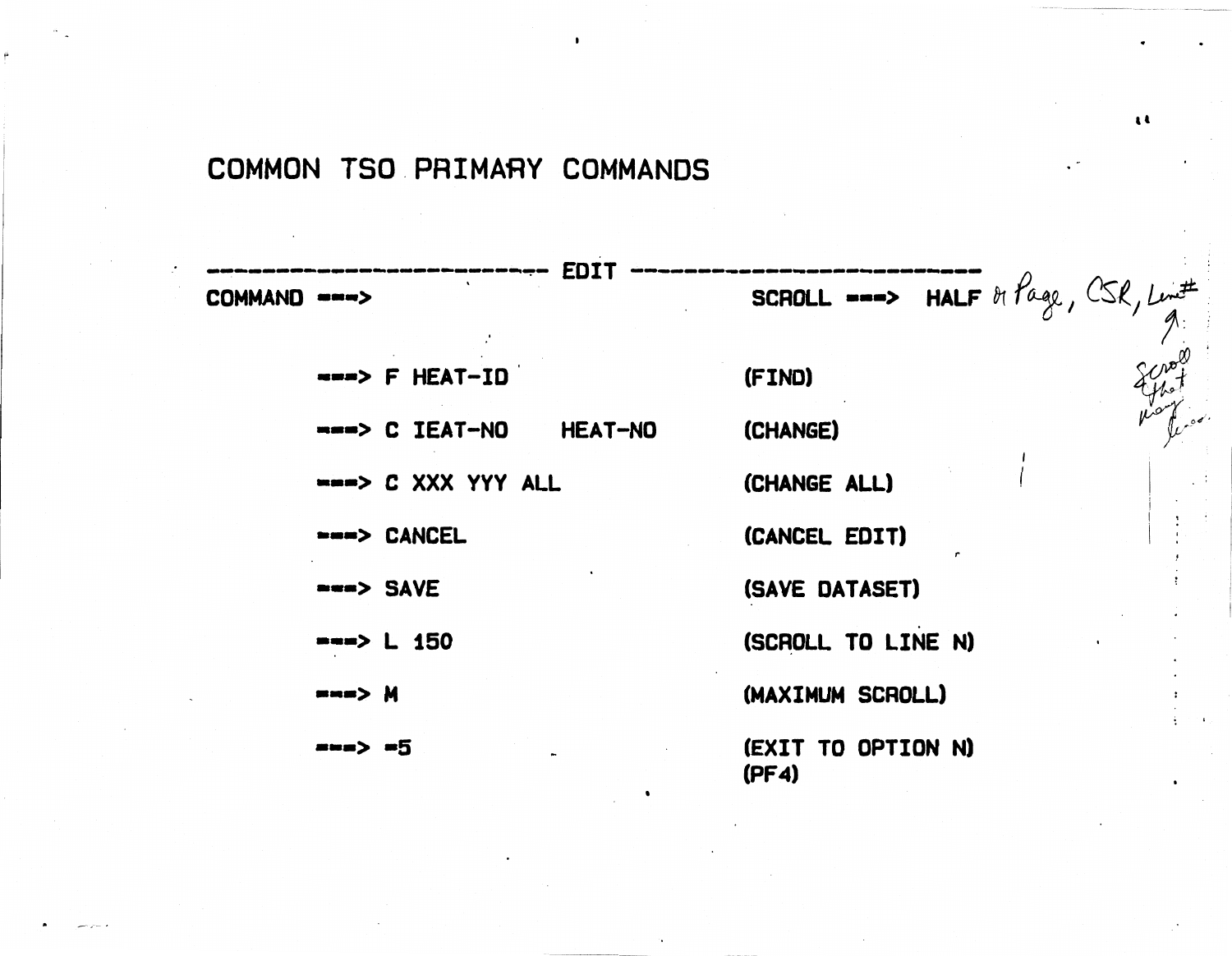## COMMON TSO PRIMARY COMMANDS

|              | <b>EDI1</b>                      |                                                                                                 |
|--------------|----------------------------------|-------------------------------------------------------------------------------------------------|
| COMMAND ===> |                                  | <b>SCROLL</b> $\longrightarrow$ <b>HALF</b> $\theta_1$ $\theta_2$ , $\cos \theta$ , $\lim^{\#}$ |
|              | <b>***&gt; F HEAT-ID</b>         | (FIND)                                                                                          |
|              | ---> C IEAT-NO<br><b>HEAT-NO</b> | (CHANGE)                                                                                        |
|              | ===> C XXX YYY ALL               | (CHANGE ALL)                                                                                    |
|              | ===> CANCEL                      | (CANCEL EDIT)                                                                                   |
|              | ===> SAVE                        | (SAVE DATASET)                                                                                  |
|              | $\rightarrow$ $\rightarrow$ 150  | (SCROLL TO LINE N)                                                                              |
|              | m m > M                          | (MAXIMUM SCROLL)                                                                                |
|              | <b>***&gt; *5</b>                | (EXIT TO OPTION N)<br>(PFA)<br>$\bullet$                                                        |

 $\ddot{\phantom{a}}$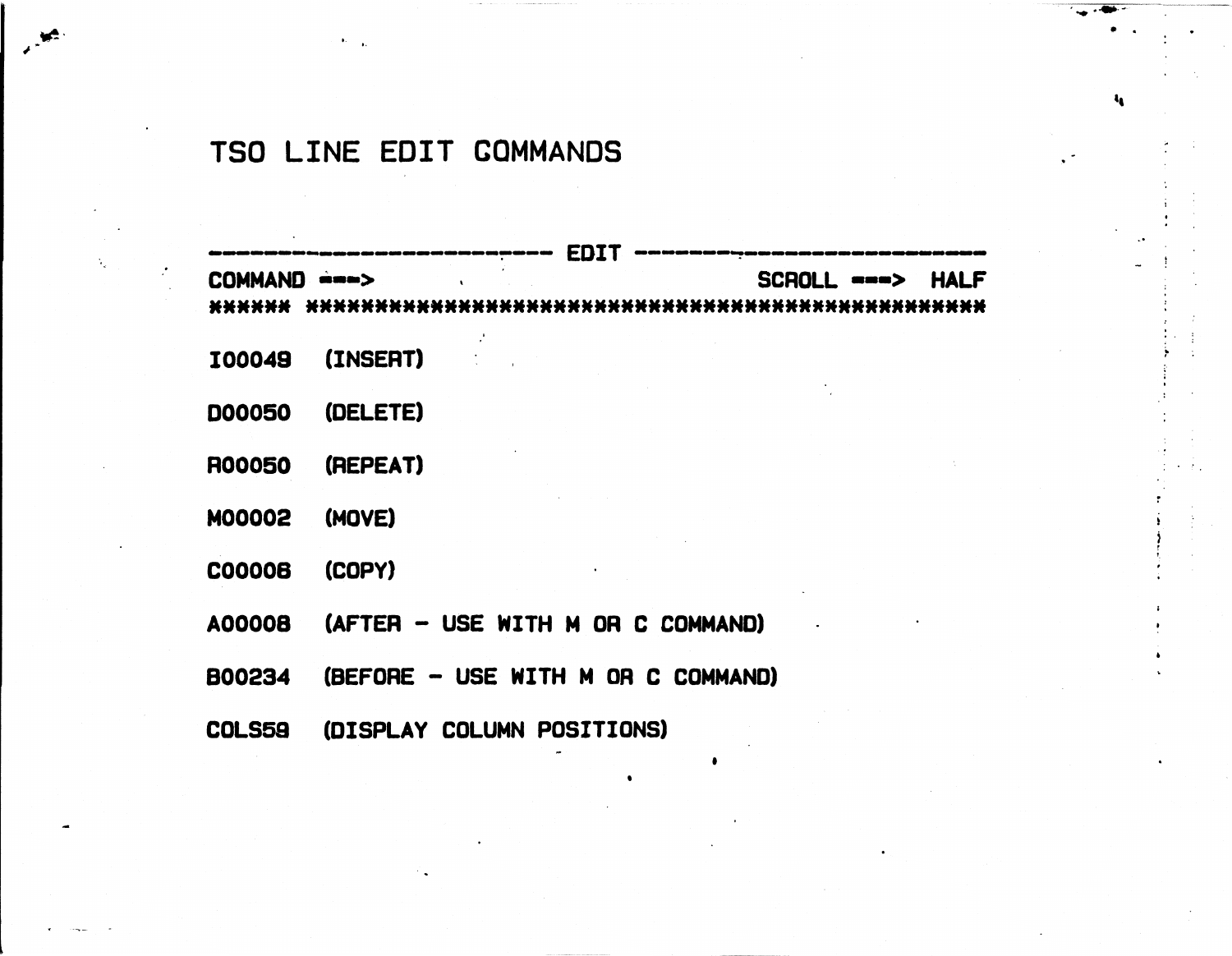## TSO LINE EDIT COMMANDS

 $\mathbf{E} = \mathbf{E}$ 

|               | ED 4                               |                          |             |
|---------------|------------------------------------|--------------------------|-------------|
| COMMAND ===>  |                                    | SCROLL --->              | <b>HALF</b> |
| ******        | ****************************       | .*********************** |             |
| <b>I00049</b> | (INSERT)                           |                          |             |
| <b>DOO050</b> | (DELETE)                           |                          |             |
| <b>R00050</b> | (REPEAT)                           |                          |             |
| <b>MOOOO2</b> | (MOVE)                             |                          |             |
| <b>C00008</b> | (COPY)                             |                          |             |
| A00008        | (AFTER - USE WITH M OR C COMMAND)  |                          |             |
| <b>B00234</b> | (BEFORE - USE WITH M OR C COMMAND) |                          |             |
| <b>COLS59</b> | (DISPLAY COLUMN POSITIONS)         |                          |             |
|               | ٠                                  |                          |             |